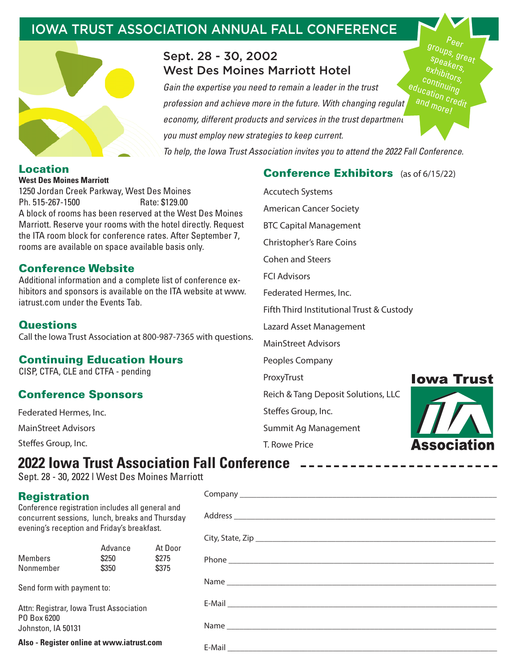## IOWA TRUST ASSOCIATION ANNUAL FALL CONFERENCE



## Sept. 28 - 30, 2002 West Des Moines Marriott Hotel

*Gain the expertise you need to remain a leader in the trust profession and achieve more in the future. With changing regulat economy, different products and services in the trust department you must employ new strategies to keep current. To help, the Iowa Trust Association invites you to attend the 2022 Fall Conference.*  con<sub>tinuing</sub><br>c<sub>atio</sub> e<sub>ducation credit</sub><br>and morel

#### **Location West Des Moines Marriott**

1250 Jordan Creek Parkway, West Des Moines Ph. 515-267-1500 Rate: \$129.00 A block of rooms has been reserved at the West Des Moines Marriott. Reserve your rooms with the hotel directly. Request the ITA room block for conference rates. After September 7, rooms are available on space available basis only.

## **Conference Website**

Additional information and a complete list of conference exhibitors and sponsors is available on the ITA website at www. iatrust.com under the Events Tab.

### **Questions**

Call the Iowa Trust Association at 800-987-7365 with questions.

## **Continuing Education Hours**

CISP, CTFA, CLE and CTFA - pending

## **Conference Sponsors**

Federated Hermes, Inc.

MainStreet Advisors

Steffes Group, Inc.

## **Conference Exhibitors** (as of 6/15/22)

Accutech Systems American Cancer Society BTC Capital Management Christopher's Rare Coins Cohen and Steers FCI Advisors Federated Hermes, Inc. Fifth Third Institutional Trust & Custody Lazard Asset Management MainStreet Advisors Peoples Company ProxyTrust Reich & Tang Deposit Solutions, LLC

Summit Ag Management

Steffes Group, Inc.

T. Rowe Price

Company



 $P_{\theta e_{\mathcal{F}}}$ groups, great spe<sub>akers,</sub><br><sub>xhir</sub>. exhibitors,<br>`on<sub>tin</sub>' <sup>ors,</sup>

# **2022 Iowa Trust Association Fall Conference**

Sept. 28 - 30, 2022 l West Des Moines Marriott

## **Registration**

Conference registration includes all general and concurrent sessions, lunch, breaks and Thursday evening's reception and Friday's breakfast.

| <b>Members</b><br>Nonmember                                                  | Advance<br>\$250<br>\$350 | At Door<br>\$275<br>\$375 |  |  |  |
|------------------------------------------------------------------------------|---------------------------|---------------------------|--|--|--|
| Send form with payment to:                                                   |                           |                           |  |  |  |
| Attn: Registrar, Iowa Trust Association<br>PO Box 6200<br>Johnston, IA 50131 |                           |                           |  |  |  |
|                                                                              |                           |                           |  |  |  |

**Also - Register online at www.iatrust.com**